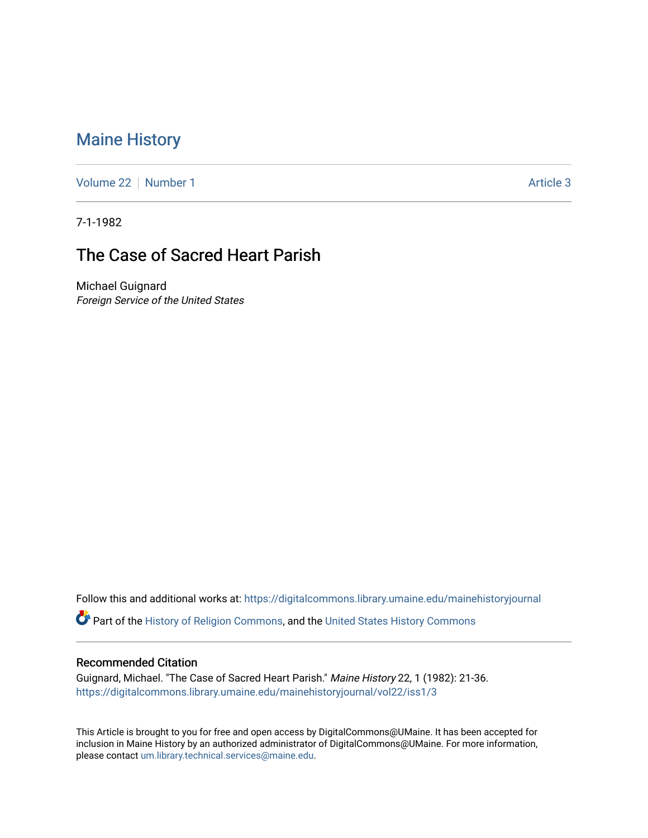## [Maine History](https://digitalcommons.library.umaine.edu/mainehistoryjournal)

[Volume 22](https://digitalcommons.library.umaine.edu/mainehistoryjournal/vol22) [Number 1](https://digitalcommons.library.umaine.edu/mainehistoryjournal/vol22/iss1) Article 3

7-1-1982

# The Case of Sacred Heart Parish

Michael Guignard Foreign Service of the United States

Follow this and additional works at: [https://digitalcommons.library.umaine.edu/mainehistoryjournal](https://digitalcommons.library.umaine.edu/mainehistoryjournal?utm_source=digitalcommons.library.umaine.edu%2Fmainehistoryjournal%2Fvol22%2Fiss1%2F3&utm_medium=PDF&utm_campaign=PDFCoverPages) 

Part of the [History of Religion Commons](http://network.bepress.com/hgg/discipline/499?utm_source=digitalcommons.library.umaine.edu%2Fmainehistoryjournal%2Fvol22%2Fiss1%2F3&utm_medium=PDF&utm_campaign=PDFCoverPages), and the [United States History Commons](http://network.bepress.com/hgg/discipline/495?utm_source=digitalcommons.library.umaine.edu%2Fmainehistoryjournal%2Fvol22%2Fiss1%2F3&utm_medium=PDF&utm_campaign=PDFCoverPages) 

#### Recommended Citation

Guignard, Michael. "The Case of Sacred Heart Parish." Maine History 22, 1 (1982): 21-36. [https://digitalcommons.library.umaine.edu/mainehistoryjournal/vol22/iss1/3](https://digitalcommons.library.umaine.edu/mainehistoryjournal/vol22/iss1/3?utm_source=digitalcommons.library.umaine.edu%2Fmainehistoryjournal%2Fvol22%2Fiss1%2F3&utm_medium=PDF&utm_campaign=PDFCoverPages)

This Article is brought to you for free and open access by DigitalCommons@UMaine. It has been accepted for inclusion in Maine History by an authorized administrator of DigitalCommons@UMaine. For more information, please contact [um.library.technical.services@maine.edu.](mailto:um.library.technical.services@maine.edu)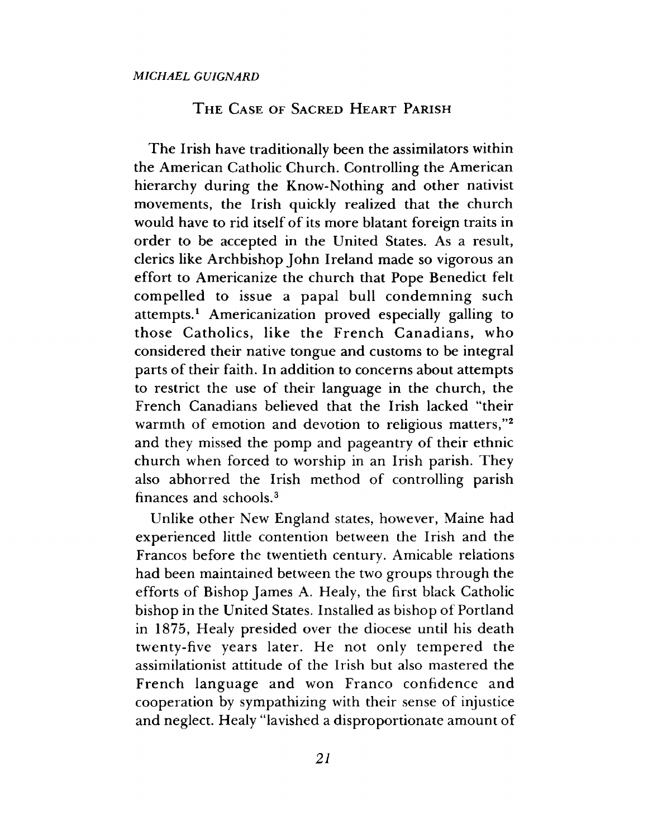### THE CASE OF SACRED HEART PARISH

The Irish have traditionally been the assimilators within the American Catholic Church. Controlling the American hierarchy during the Know-Nothing and other nativist movements, the Irish quickly realized that the church would have to rid itself of its more blatant foreign traits in order to be accepted in the United States. As a result, clerics like Archbishop John Ireland made so vigorous an effort to Americanize the church that Pope Benedict felt compelled to issue a papal bull condemning such attempts.1 Americanization proved especially galling to those Catholics, like the French Canadians, who considered their native tongue and customs to be integral parts of their faith. In addition to concerns about attempts to restrict the use of their language in the church, the French Canadians believed that the Irish lacked "their warmth of emotion and devotion to religious matters,"<sup>2</sup> and they missed the pomp and pageantry of their ethnic church when forced to worship in an Irish parish. They also abhorred the Irish method of controlling parish finances and schools.3

Unlike other New England states, however, Maine had experienced little contention between the Irish and the Francos before the twentieth century. Amicable relations had been maintained between the two groups through the efforts of Bishop James A. Healy, the first black Catholic bishop in the United States. Installed as bishop of Portland in 1875, Healy presided over the diocese until his death twenty-five years later. He not only tempered the assimilationist attitude of the Irish but also mastered the French language and won Franco confidence and cooperation by sympathizing with their sense of injustice and neglect. Healy "lavished a disproportionate amount of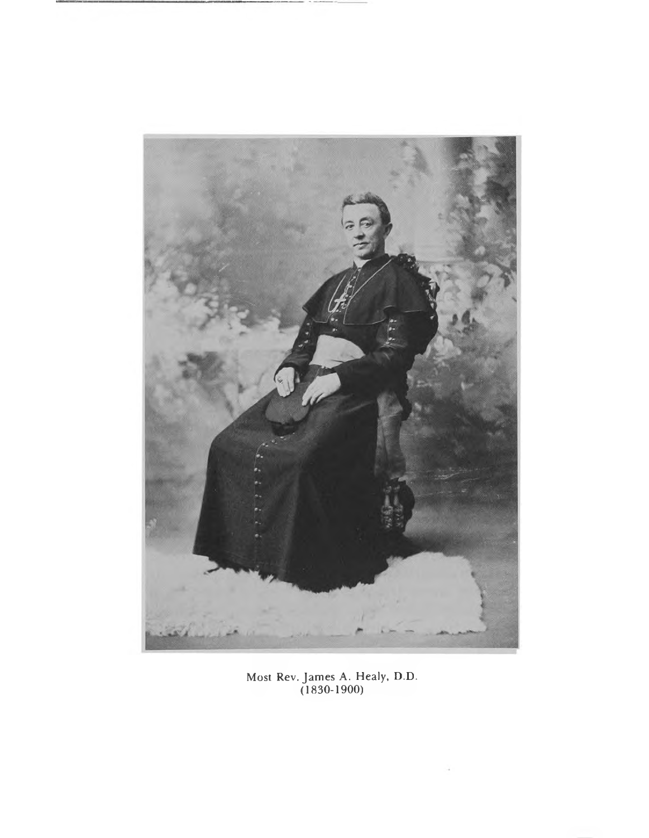

Most Rev. James A. Healy, D.D. (1830-1900)

÷,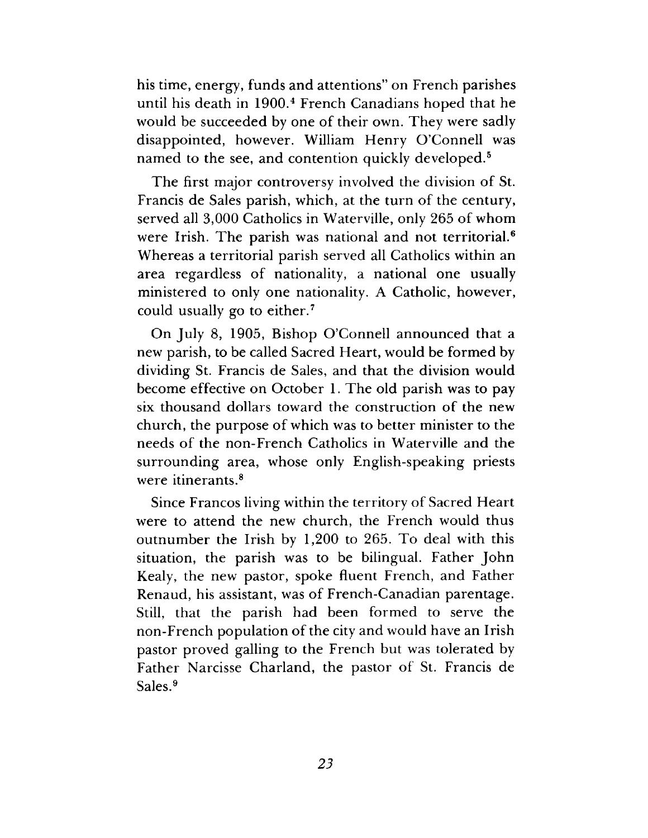his time, energy, funds and attentions" on French parishes until his death in 1900.4 French Canadians hoped that he would be succeeded by one of their own. They were sadly disappointed, however. William Henry O'Connell was named to the see, and contention quickly developed.<sup>5</sup>

The first major controversy involved the division of St. Francis de Sales parish, which, at the turn of the century, served all 3,000 Catholics in Waterville, only 265 of whom were Irish. The parish was national and not territorial.6 Whereas a territorial parish served all Catholics within an area regardless of nationality, a national one usually ministered to only one nationality. A Catholic, however, could usually go to either.7

On July 8, 1905, Bishop O'Connell announced that a new parish, to be called Sacred Heart, would be formed by dividing St. Francis de Sales, and that the division would become effective on October 1. The old parish was to pay six thousand dollars toward the construction of the new church, the purpose of which was to better minister to the needs of the non-French Catholics in Waterville and the surrounding area, whose only English-speaking priests were itinerants.<sup>8</sup>

Since Francos living within the territory of Sacred Heart were to attend the new church, the French would thus outnumber the Irish by 1,200 to 265. To deal with this situation, the parish was to be bilingual. Father John Kealy, the new pastor, spoke fluent French, and Father Renaud, his assistant, was of French-Canadian parentage. Still, that the parish had been formed to serve the non-French population of the city and would have an Irish pastor proved galling to the French but was tolerated by Father Narcisse Charland, the pastor of St. Francis de Sales.9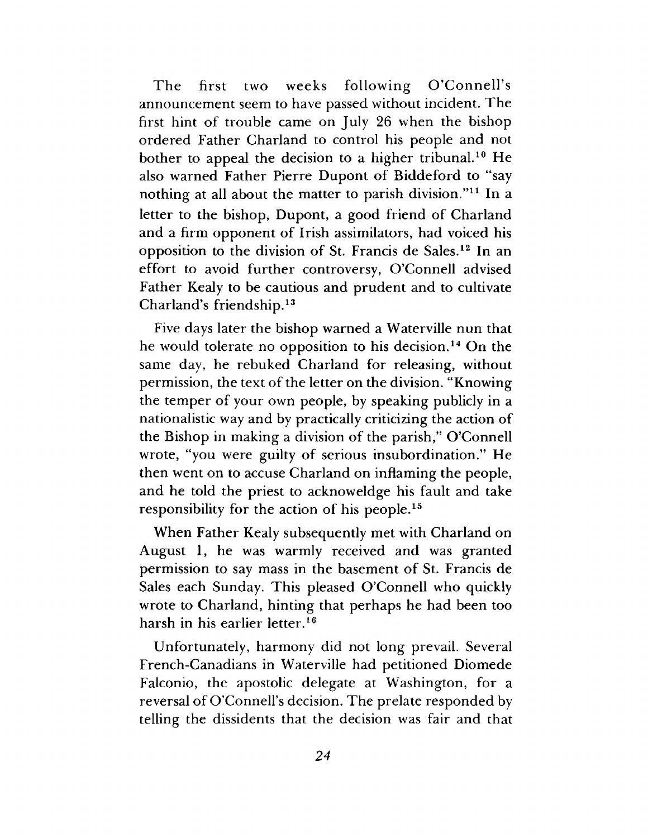The first two weeks following O'Connell's announcement seem to have passed without incident. The first hint of trouble came on July 26 when the bishop ordered Father Charland to control his people and not bother to appeal the decision to a higher tribunal.<sup>10</sup> He also warned Father Pierre Dupont of Biddeford to "say nothing at all about the matter to parish division."11 In a letter to the bishop, Dupont, a good friend of Charland and a firm opponent of Irish assimilators, had voiced his opposition to the division of St. Francis de Sales.12 In an effort to avoid further controversy, O'Connell advised Father Kealy to be cautious and prudent and to cultivate Charland's friendship.13

Five days later the bishop warned a Waterville nun that he would tolerate no opposition to his decision.14 On the same day, he rebuked Charland for releasing, without permission, the text of the letter on the division. "Knowing the temper of your own people, by speaking publicly in a nationalistic way and by practically criticizing the action of the Bishop in making a division of the parish," O'Connell wrote, "you were guilty of serious insubordination." He then went on to accuse Charland on inflaming the people, and he told the priest to acknoweldge his fault and take responsibility for the action of his people.15

When Father Kealy subsequently met with Charland on August 1, he was warmly received and was granted permission to say mass in the basement of St. Francis de Sales each Sunday. This pleased O'Connell who quickly wrote to Charland, hinting that perhaps he had been too harsh in his earlier letter.<sup>16</sup>

Unfortunately, harmony did not long prevail. Several French-Canadians in Waterville had petitioned Diomede Falconio, the apostolic delegate at Washington, for a reversal of O'Connell's decision. The prelate responded by telling the dissidents that the decision was fair and that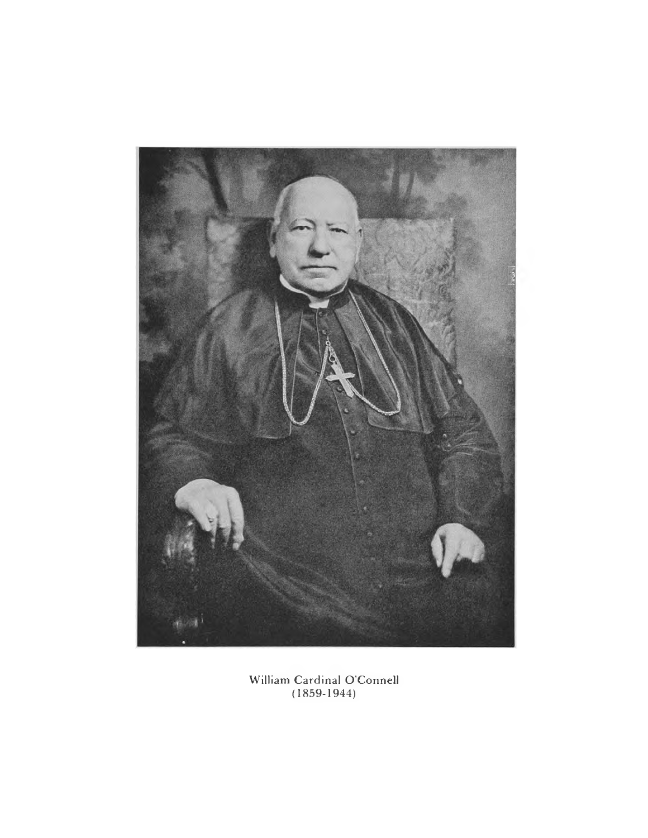

William Cardinal O'Connell (1859-1944)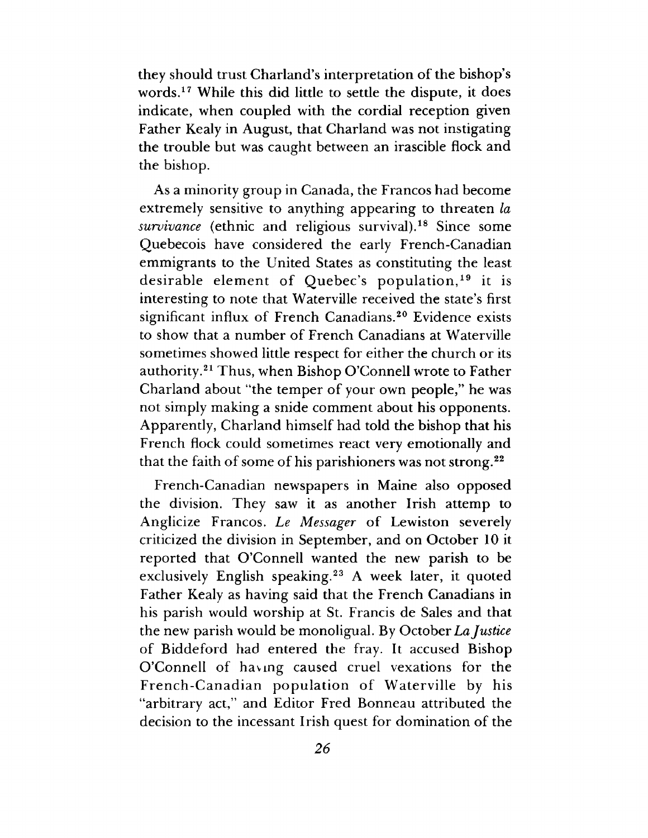they should trust Charland's interpretation of the bishop s words.17 While this did little to settle the dispute, it does indicate, when coupled with the cordial reception given Father Kealy in August, that Charland was not instigating the trouble but was caught between an irascible flock and the bishop.

As a minority group in Canada, the Francos had become extremely sensitive to anything appearing to threaten *la survivance* (ethnic and religious survival).18 Since some Quebecois have considered the early French-Canadian emmigrants to the United States as constituting the least desirable element of Quebec's population,  $19$  it is interesting to note that Waterville received the state's first significant influx of French Canadians.<sup>20</sup> Evidence exists to show that a number of French Canadians at Waterville sometimes showed little respect for either the church or its authority.21 Thus, when Bishop O'Connell wrote to Father Charland about "the temper of your own people," he was not simply making a snide comment about his opponents. Apparently, Charland himself had told the bishop that his French flock could sometimes react very emotionally and that the faith of some of his parishioners was not strong.22

French-Canadian newspapers in Maine also opposed the division. They saw it as another Irish attemp to Anglicize Francos. *Le Messager* of Lewiston severely criticized the division in September, and on October 10 it reported that O'Connell wanted the new parish to be exclusively English speaking.<sup>23</sup> A week later, it quoted Father Kealy as having said that the French Canadians in his parish would worship at St. Francis de Sales and that the new parish would be monoligual. By October La *Justice* of Biddeford had entered the fray. It accused Bishop O'Connell of having caused cruel vexations for the French-Canadian population of Waterville by his "arbitrary act," and Editor Fred Bonneau attributed the decision to the incessant Irish quest for domination of the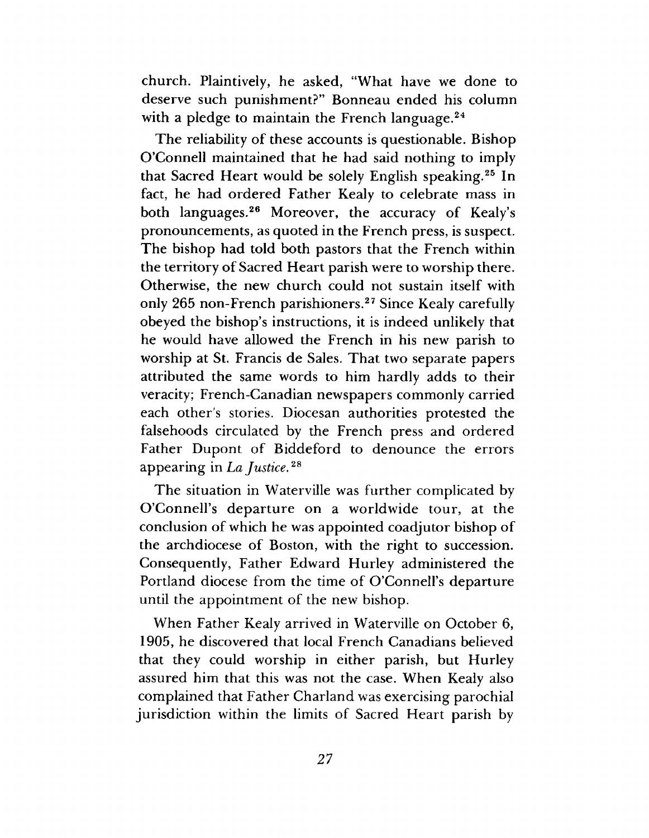church. Plaintively, he asked, "What have we done to deserve such punishment?" Bonneau ended his column with a pledge to maintain the French language. $24$ 

The reliability of these accounts is questionable. Bishop O'Connell maintained that he had said nothing to imply that Sacred Heart would be solely English speaking.25 In fact, he had ordered Father Kealy to celebrate mass in both languages.26 Moreover, the accuracy of Kealy's pronouncements, as quoted in the French press, is suspect. The bishop had told both pastors that the French within the territory of Sacred Heart parish were to worship there. Otherwise, the new church could not sustain itself with only 265 non-French parishioners.27 Since Kealy carefully obeyed the bishop's instructions, it is indeed unlikely that he would have allowed the French in his new parish to worship at St. Francis de Sales. That two separate papers attributed the same words to him hardly adds to their veracity; French-Canadian newspapers commonly carried each other's stories. Diocesan authorities protested the falsehoods circulated by the French press and ordered Father Dupont of Biddeford to denounce the errors appearing in *La Justice.28*

The situation in Waterville was further complicated by O'Connell's departure on a worldwide tour, at the conclusion of which he was appointed coadjutor bishop of the archdiocese of Boston, with the right to succession. Consequently, Father Edward Hurley administered the Portland diocese from the time of O'Connell's departure until the appointment of the new bishop.

When Father Kealy arrived in Waterville on October 6, 1905, he discovered that local French Canadians believed that they could worship in either parish, but Hurley assured him that this was not the case. When Kealy also complained that Father Charland was exercising parochial jurisdiction within the limits of Sacred Heart parish by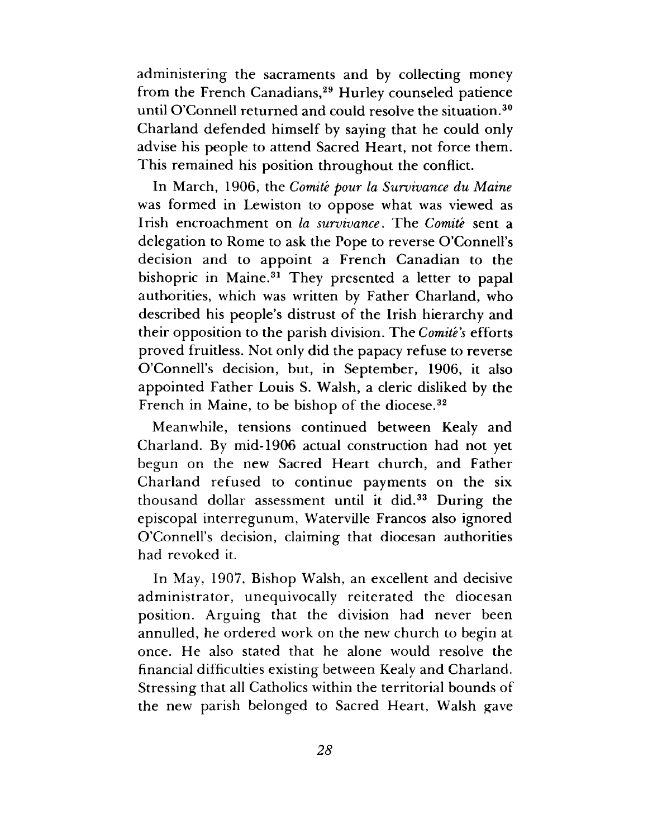administering the sacraments and by collecting money from the French Canadians,<sup>29</sup> Hurley counseled patience until O'Connell returned and could resolve the situation.30 Charland defended himself by saying that he could only advise his people to attend Sacred Heart, not force them. This remained his position throughout the conflict.

In March, 1906, the *Comite pour la Survivance du Maine* was formed in Lewiston to oppose what was viewed as Irish encroachment on *la survivance*. The *Comite* sent a delegation to Rome to ask the Pope to reverse O'Connell's decision and to appoint a French Canadian to the bishopric in Maine.<sup>31</sup> They presented a letter to papal authorities, which was written by Father Charland, who described his people's distrust of the Irish hierarchy and their opposition to the parish division. The *Comite's* efforts proved fruitless. Not only did the papacy refuse to reverse O'Connell's decision, but, in September, 1906, it also appointed Father Louis S. Walsh, a cleric disliked by the French in Maine, to be bishop of the diocese.<sup>32</sup>

Meanwhile, tensions continued between Kealy and Charland. By mid-1906 actual construction had not yet begun on the new Sacred Heart church, and Father Charland refused to continue payments on the six thousand dollar assessment until it did.33 During the episcopal interregunum, Waterville Francos also ignored O'Connell's decision, claiming that diocesan authorities had revoked it.

In May, 1907, Bishop Walsh, an excellent and decisive administrator, unequivocally reiterated the diocesan position. Arguing that the division had never been annulled, he ordered work on the new church to begin at once. He also stated that he alone would resolve the financial difficulties existing between Kealy and Charland. Stressing that all Catholics within the territorial bounds of the new parish belonged to Sacred Heart, Walsh gave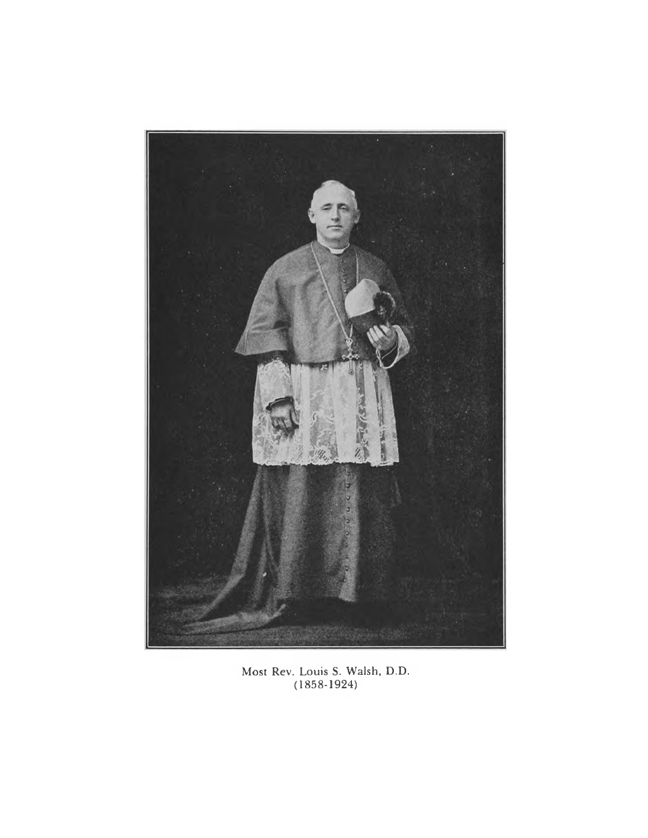

Most Rev. Louis S. Walsh, D.D. (1858-1924)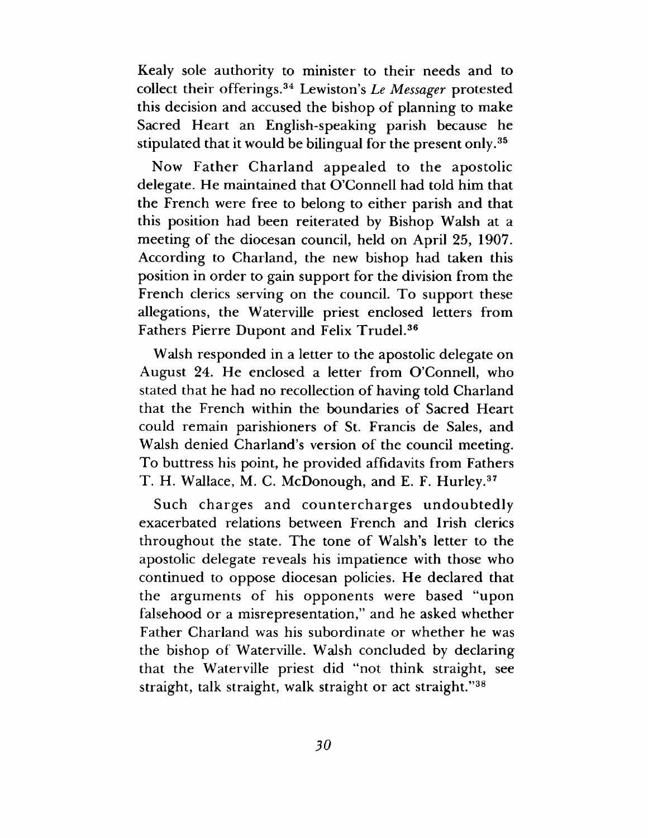Kealy sole authority to minister to their needs and to collect their offerings.34 Lewiston's *Le Messager* protested this decision and accused the bishop of planning to make Sacred Heart an English-speaking parish because he stipulated that it would be bilingual for the present only.<sup>35</sup>

Now Father Charland appealed to the apostolic delegate. He maintained that O'Connell had told him that the French were free to belong to either parish and that this position had been reiterated by Bishop Walsh at a meeting of the diocesan council, held on April 25, 1907. According to Charland, the new bishop had taken this position in order to gain support for the division from the French clerics serving on the council. To support these allegations, the Waterville priest enclosed letters from Fathers Pierre Dupont and Felix Trudel.36

Walsh responded in a letter to the apostolic delegate on August 24. He enclosed a letter from O'Connell, who stated that he had no recollection of having told Charland that the French within the boundaries of Sacred Heart could remain parishioners of St. Francis de Sales, and Walsh denied Charland's version of the council meeting. To buttress his point, he provided affidavits from Fathers T. H. Wallace, M. C. McDonough, and E. F. Hurley.37

Such charges and countercharges undoubtedly exacerbated relations between French and Irish clerics throughout the state. The tone of Walsh's letter to the apostolic delegate reveals his impatience with those who continued to oppose diocesan policies. He declared that the arguments of his opponents were based "upon falsehood or a misrepresentation," and he asked whether Father Charland was his subordinate or whether he was the bishop of Waterville. Walsh concluded by declaring that the Waterville priest did "not think straight, see straight, talk straight, walk straight or act straight."38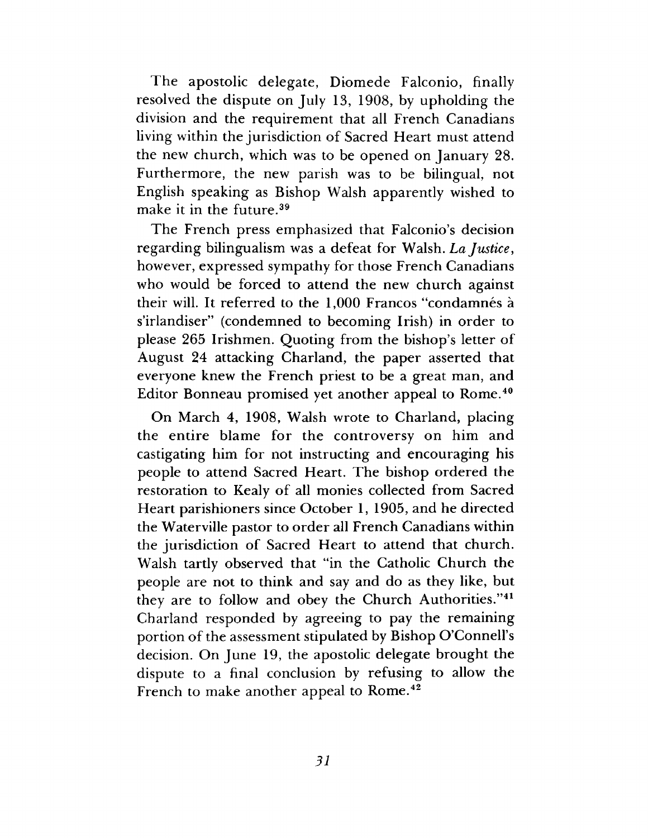The apostolic delegate, Diomede Falconio, finally resolved the dispute on July 13, 1908, by upholding the division and the requirement that all French Canadians living within the jurisdiction of Sacred Heart must attend the new church, which was to be opened on January 28. Furthermore, the new parish was to be bilingual, not English speaking as Bishop Walsh apparently wished to make it in the future.39

The French press emphasized that Falconio's decision regarding bilingualism was a defeat for Walsh. *La Justice*, however, expressed sympathy for those French Canadians who would be forced to attend the new church against their will. It referred to the 1,000 Francos "condamnés à s'irlandiser" (condemned to becoming Irish) in order to please 265 Irishmen. Quoting from the bishop's letter of August 24 attacking Charland, the paper asserted that everyone knew the French priest to be a great man, and Editor Bonneau promised yet another appeal to Rome.40

On March 4, 1908, Walsh wrote to Charland, placing the entire blame for the controversy on him and castigating him for not instructing and encouraging his people to attend Sacred Heart. The bishop ordered the restoration to Kealy of all monies collected from Sacred Heart parishioners since October 1, 1905, and he directed the Waterville pastor to order all French Canadians within the jurisdiction of Sacred Heart to attend that church. Walsh tartly observed that "in the Catholic Church the people are not to think and say and do as they like, but they are to follow and obey the Church Authorities."41 Charland responded by agreeing to pay the remaining portion of the assessment stipulated by Bishop O'Connell's decision. On June 19, the apostolic delegate brought the dispute to a final conclusion by refusing to allow the French to make another appeal to Rome.<sup>42</sup>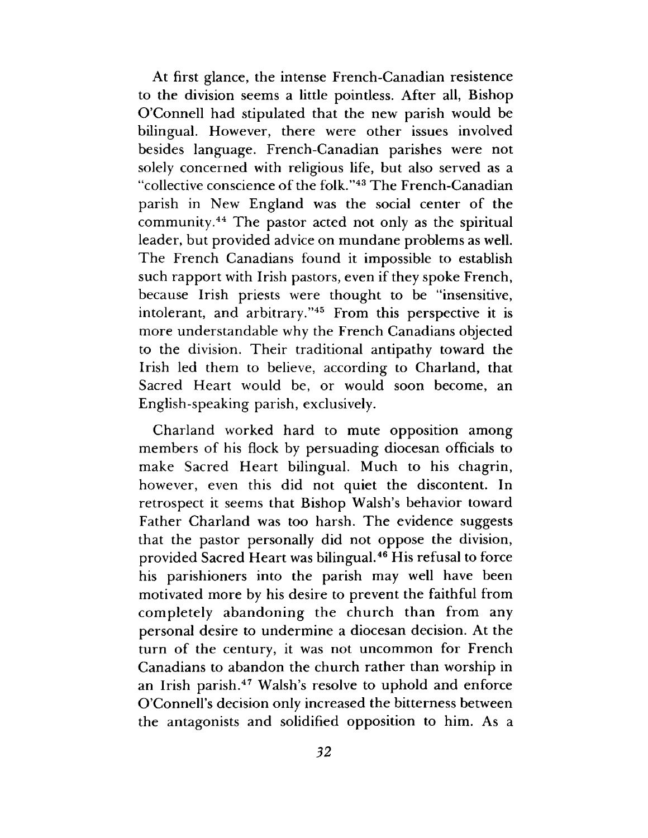At first glance, the intense French-Canadian resistence to the division seems a little pointless. After all, Bishop O'Connell had stipulated that the new parish would be bilingual. However, there were other issues involved besides language. French-Canadian parishes were not solely concerned with religious life, but also served as a "collective conscience of the folk."43 The French-Canadian parish in New England was the social center of the community.44 The pastor acted not only as the spiritual leader, but provided advice on mundane problems as well. The French Canadians found it impossible to establish such rapport with Irish pastors, even if they spoke French, because Irish priests were thought to be "insensitive, intolerant, and arbitrary."45 From this perspective it is more understandable why the French Canadians objected to the division. Their traditional antipathy toward the Irish led them to believe, according to Charland, that Sacred Heart would be, or would soon become, an English-speaking parish, exclusively.

Charland worked hard to mute opposition among members of his flock by persuading diocesan officials to make Sacred Heart bilingual. Much to his chagrin, however, even this did not quiet the discontent. In retrospect it seems that Bishop Walsh's behavior toward Father Charland was too harsh. The evidence suggests that the pastor personally did not oppose the division, provided Sacred Heart was bilingual.46 His refusal to force his parishioners into the parish may well have been motivated more by his desire to prevent the faithful from completely abandoning the church than from any personal desire to undermine a diocesan decision. At the turn of the century, it was not uncommon for French Canadians to abandon the church rather than worship in an Irish parish.47 Walsh's resolve to uphold and enforce O'Connell's decision only increased the bitterness between the antagonists and solidified opposition to him. As a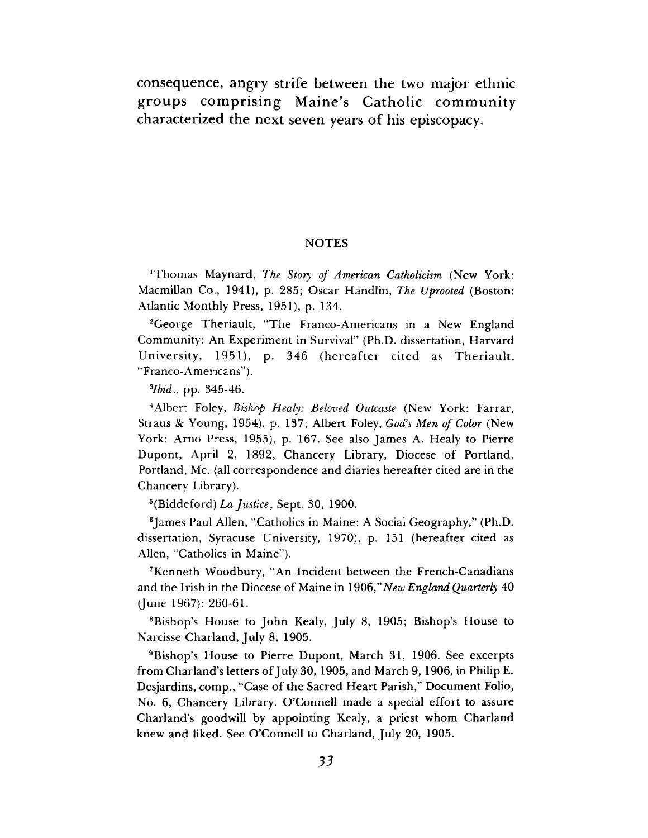consequence, angry strife between the two major ethnic groups comprising Maine's Catholic community characterized the next seven years of his episcopacy.

#### **NOTES**

<sup>1</sup>Thomas Maynard, *The Story of American Catholicism* (New York: Macmillan Co., 1941), p. 285; Oscar Handlin, *The Uprooted* (Boston: Atlantic Monthly Press, 1951), p. 134.

2George Theriault, "The Franco-Americans in a New England Community: An Experiment in Survival" (Ph.D. dissertation, Harvard University, 1951), p. 346 (hereafter cited as Theriault, "Franco-Americans").

*Hbid*., pp. 345-46.

4Albert Foley, *Bishop Healy: Beloved Outcaste* (New York: Farrar, Straus & Young, 1954), p. 137; Albert Foley, *God's Men of Color* (New York: Arno Press, 1955), p. 167. See also James A. Healy to Pierre Dupont, April 2, 1892, Chancery Library, Diocese of Portland, Portland, Me. (all correspondence and diaries hereafter cited are in the Chancery Library).

5(Biddeford) *La Justice*, Sept. 30, 1900.

<sup>6</sup>James Paul Allen, "Catholics in Maine: A Social Geography," (Ph.D.) dissertation, Syracuse University, 1970), p. 151 (hereafter cited as Allen, "Catholics in Maine").

7Kenneth Woodbury, "An Incident between the French-Canadians and the Irish in the Diocese of Maine in 1906,"*New England Quarterly* 40 (June 1967): 260-61.

8Bishop's House to John Kealy, July 8, 1905; Bishop's House to Narcisse Charland, July 8, 1905.

9Bishop's House to Pierre Dupont, March 31, 1906. See excerpts from Charland's letters of July 30, 1905, and March 9, 1906, in Philip E. Desjardins, comp., "Case of the Sacred Heart Parish," Document Folio, No. 6, Chancery Library. O'Connell made a special effort to assure Charland's goodwill by appointing Kealy, a priest whom Charland knew and liked. See O'Connell to Charland, July 20, 1905.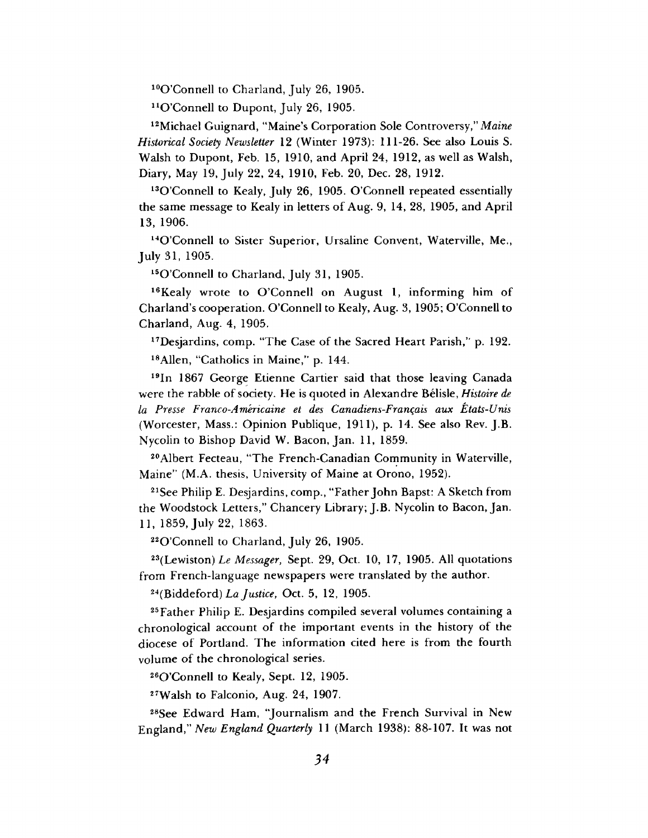10O 'Connell to Charland, July 26, 1905.

 $11$ O'Connell to Dupont, July 26, 1905.

12Michael Guignard, "Maine's Corporation Sole Controversy," *Maine Historical Society Newsletter* 12 (Winter 1973): 111-26. See also Louis S. Walsh to Dupont, Feb. 15, 1910, and April 24, 1912, as well as Walsh, Diary, May 19, July 22, 24, 1910, Feb. 20, Dec. 28, 1912.

<sup>13</sup>O'Connell to Kealy, July 26, 1905. O'Connell repeated essentially the same message to Kealy in letters of Aug. 9, 14, 28, 1905, and April 13, 1906.

<sup>14</sup>O'Connell to Sister Superior, Ursaline Convent, Waterville, Me., July 31, 1905.

l50 'Connell to Charland, July 31, 1905.

<sup>16</sup>Kealy wrote to O'Connell on August 1, informing him of Charland's cooperation. O 'Connell to Kealy, Aug. 3, 1905; O'Connell to Charland, Aug. 4, 1905.

17Desjardins, comp. "The Case of the Sacred Heart Parish," p. 192.

18Allen, "Catholics in Maine," p. 144.

19In 1867 George Etienne Cartier said that those leaving Canada were the rabble of society. He is quoted in Alexandre Belisle, *Histoire de la Presse Franco-Americaine et des Canadiens-Franqais aux Etats-Unis* (Worcester, Mass.: Opinion Publique, 1911), p. 14. See also Rev. J.B. Nycolin to Bishop David W. Bacon, Jan. 11, 1859.

20Albert Fecteau, "The French-Canadian Community in Waterville, Maine" (M.A. thesis, University of Maine at Orono, 1952).

21See Philip E. Desjardins, comp., "Father John Bapst: A Sketch from the Woodstock Letters," Chancery Library; J.B. Nycolin to Bacon, Jan. 11, 1859, July 22, 1863.

<sup>22</sup>O'Connell to Charland, July 26, 1905.

23(Lewiston) *Le Messager,* Sept. 29, Oct. 10, 17, 1905. All quotations from French-language newspapers were translated by the author.

24(Biddeford) *La Justice*, Oct. 5, 12, 1905.

25 Father Philip E. Desjardins compiled several volumes containing a chronological account of the important events in the history of the diocese of Portland. The information cited here is from the fourth volume of the chronological series.

260 'Connell to Kealy, Sept. 12, 1905.

27Walsh to Falconio, Aug. 24, 1907.

28See Edward Ham, "Journalism and the French Survival in New England," *New England Quarterly* 11 (March 1938): 88-107. It was not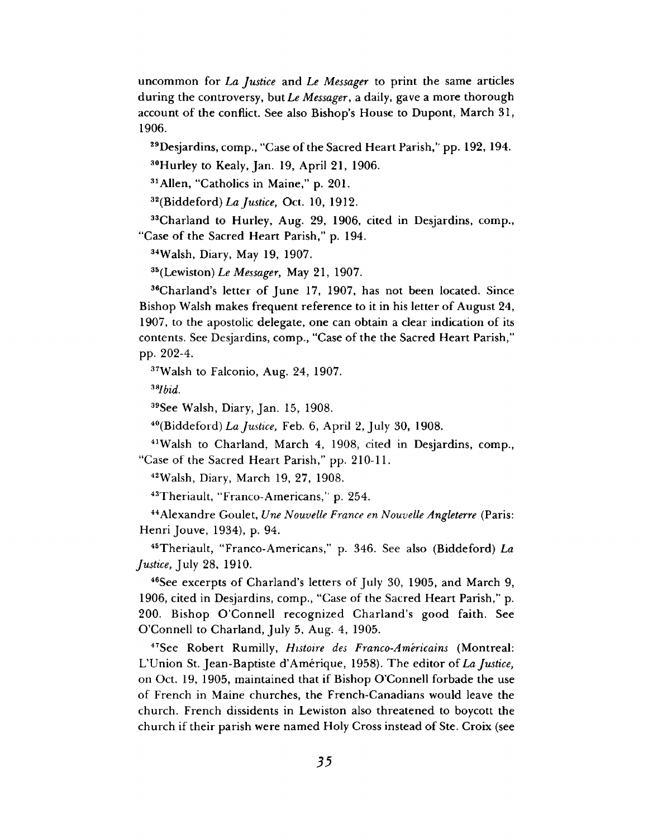uncommon for *La Justice* and *Le Messager* to print the same articles during the controversy, *but Le Messager*, a daily, gave a more thorough account of the conflict. See also Bishop's House to Dupont, March 31, 1906.

<sup>29</sup>Desjardins, comp., "Case of the Sacred Heart Parish," pp. 192, 194.

30Hurley to Kealy, Jan. 19, April 21, 1906.

31 Allen, "Catholics in Maine," p. 201.

32(Biddeford) *La Justice*, Oct. 10, 1912.

33Charland to Hurley, Aug. 29, 1906, cited in Desjardins, comp., "Case of the Sacred Heart Parish," p. 194.

34Walsh, Diary, May 19, 1907.

35(Lewiston) *Le Messager,* May 21, 1907.

36Charland's letter of June 17, 1907, has not been located. Since Bishop Walsh makes frequent reference to it in his letter of August 24, 1907, to the apostolic delegate, one can obtain a clear indication of its contents. See Desjardins, comp., "Case of the the Sacred Heart Parish," pp. 202-4.

37Walsh to Falconio, Aug. 24, 1907.

*38Ibid.*

39See Walsh, Diary, Jan. 15, 1908.

40(Biddeford) *La Justice,* Feb. 6, April 2, July 30, 1908.

41Walsh to Charland, March 4, 1908, cited in Desjardins, comp., "Case of the Sacred Heart Parish," pp. 210-11.

42Walsh, Diary, March 19, 27, 1908.

43Theriault, "Franco-Americans," p. 254.

44Alexandre Goulet, *Une Nouvelle France en Nouvelle Angleterre* (Paris: Henri Jouve, 1934), p. 94.

45Theriault, "Franco-Americans," p. 346. See also (Biddeford) *La Justice*, July 28, 1910.

46See excerpts of Charland's letters of July 30, 1905, and March 9, 1906, cited in Desjardins, comp., "Case of the Sacred Heart Parish," p. 200. Bishop O'Connell recognized Charland's good faith. See O 'Connell to Charland, July 5, Aug. 4, 1905.

47See Robert Rumilly, *Histoire des Franco-Americains* (Montreal: L'Union St. Jean-Baptiste d'Amerique, 1958). The editor of *La Justice,* on Oct. 19, 1905, maintained that if Bishop O'Connell forbade the use of French in Maine churches, the French-Canadians would leave the church. French dissidents in Lewiston also threatened to boycott the church if their parish were named Holy Cross instead of Ste. Croix (see